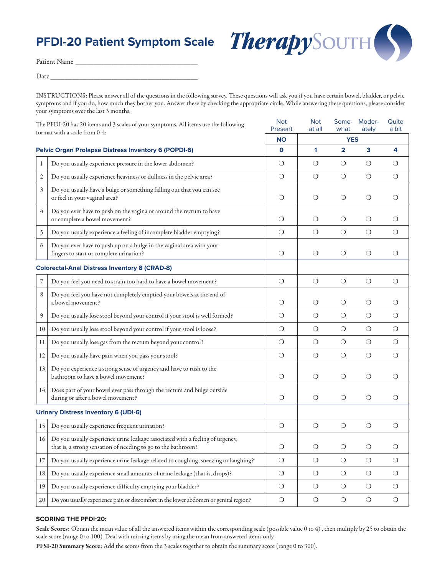## **PFDI-20 Patient Symptom Scale**



Patient Name \_\_\_\_\_\_\_\_\_\_\_\_\_\_\_\_\_\_\_\_\_\_\_\_\_\_\_\_\_\_\_\_\_\_ Date

INSTRUCTIONS: Please answer all of the questions in the following survey. These questions will ask you if you have certain bowel, bladder, or pelvic symptoms and if you do, how much they bother you. Answer these by checking the appropriate circle. While answering these questions, please consider your symptoms over the last 3 months.

| The PFDI-20 has 20 items and 3 scales of your symptoms. All items use the following<br>format with a scale from 0-4: |                                                                                                                                                | <b>Not</b><br>Present | <b>Not</b><br>at all | Some-<br>what  | Moder-<br>ately         | Quite<br>a bit |
|----------------------------------------------------------------------------------------------------------------------|------------------------------------------------------------------------------------------------------------------------------------------------|-----------------------|----------------------|----------------|-------------------------|----------------|
|                                                                                                                      |                                                                                                                                                | <b>NO</b>             |                      |                |                         |                |
| <b>Pelvic Organ Prolapse Distress Inventory 6 (POPDI-6)</b>                                                          |                                                                                                                                                | $\mathbf{o}$          | 1                    | $\overline{2}$ | $\overline{\mathbf{3}}$ | 4              |
| $\mathbf{1}$                                                                                                         | Do you usually experience pressure in the lower abdomen?                                                                                       | $\circ$               | $\circ$              | $\bigcirc$     | $\circ$                 | $\circ$        |
| 2                                                                                                                    | Do you usually experience heaviness or dullness in the pelvic area?                                                                            |                       | $\bigcirc$           | $\bigcirc$     | $\circ$                 | $\bigcirc$     |
| 3                                                                                                                    | Do you usually have a bulge or something falling out that you can see<br>or feel in your vaginal area?                                         | $\bigcirc$            | $\circ$              | $\circ$        | $\circ$                 | $\circ$        |
| 4                                                                                                                    | Do you ever have to push on the vagina or around the rectum to have<br>or complete a bowel movement?                                           | $\circ$               | $\circ$              | О              | $\bigcirc$              | $\circ$        |
| 5                                                                                                                    | Do you usually experience a feeling of incomplete bladder emptying?                                                                            | $\bigcirc$            | $\bigcirc$           | $\bigcirc$     | $\bigcirc$              | $\bigcirc$     |
| 6                                                                                                                    | Do you ever have to push up on a bulge in the vaginal area with your<br>fingers to start or complete urination?                                | $\bigcirc$            | $\bigcirc$           | $\bigcirc$     | $\bigcirc$              | $\bigcirc$     |
| <b>Colorectal-Anal Distress Inventory 8 (CRAD-8)</b>                                                                 |                                                                                                                                                |                       |                      |                |                         |                |
| 7                                                                                                                    | Do you feel you need to strain too hard to have a bowel movement?                                                                              | $\bigcirc$            | $\bigcirc$           | $\bigcirc$     | $\bigcirc$              | $\bigcirc$     |
| 8                                                                                                                    | Do you feel you have not completely emptied your bowels at the end of<br>a bowel movement?                                                     | $\circ$               | $\circ$              | $\circ$        | $\circ$                 | $\circ$        |
| 9                                                                                                                    | Do you usually lose stool beyond your control if your stool is well formed?                                                                    | $\bigcirc$            | $\circ$              | $\circ$        | $\circ$                 | $\bigcirc$     |
| 10                                                                                                                   | Do you usually lose stool beyond your control if your stool is loose?                                                                          | $\circ$               | $\circ$              | $\circ$        | $\circ$                 | $\circ$        |
| 11                                                                                                                   | Do you usually lose gas from the rectum beyond your control?                                                                                   |                       | $\circ$              | $\bigcirc$     | $\circ$                 | $\bigcirc$     |
| 12                                                                                                                   | Do you usually have pain when you pass your stool?                                                                                             |                       | $\circ$              | $\bigcirc$     | $\circ$                 | $\bigcirc$     |
| 13                                                                                                                   | Do you experience a strong sense of urgency and have to rush to the<br>bathroom to have a bowel movement?                                      | $\circ$               | $\circ$              | $\circ$        | $\circ$                 | $\bigcirc$     |
| 14                                                                                                                   | Does part of your bowel ever pass through the rectum and bulge outside<br>during or after a bowel movement?                                    | $\bigcirc$            | $\bigcirc$           | $\bigcirc$     | $\circ$                 | $\circ$        |
|                                                                                                                      | <b>Urinary Distress Inventory 6 (UDI-6)</b>                                                                                                    |                       |                      |                |                         |                |
| 15                                                                                                                   | Do you usually experience frequent urination?                                                                                                  | $\bigcirc$            | $\bigcirc$           | $\bigcirc$     | $\bigcirc$              | $\bigcirc$     |
| 16                                                                                                                   | Do you usually experience urine leakage associated with a feeling of urgency,<br>that is, a strong sensation of needing to go to the bathroom? | $\circ$               | $\bigcirc$           | $\circ$        | $\circ$                 | $\circ$        |
| 17                                                                                                                   | Do you usually experience urine leakage related to coughing, sneezing or laughing?                                                             | $\bigcirc$            | $\bigcirc$           | $\bigcirc$     | $\bigcirc$              | $\bigcirc$     |
| 18                                                                                                                   | Do you usually experience small amounts of urine leakage (that is, drops)?                                                                     | $\bigcirc$            | $\bigcirc$           | $\circ$        | $\bigcirc$              | $\bigcirc$     |
| 19                                                                                                                   | Do you usually experience difficulty emptying your bladder?                                                                                    | $\bigcirc$            | $\bigcirc$           | $\bigcirc$     | $\bigcirc$              | $\bigcirc$     |
| 20                                                                                                                   | Do you usually experience pain or discomfort in the lower abdomen or genital region?                                                           | $\bigcirc$            | $\bigcirc$           | $\bigcirc$     | $\bigcirc$              | $\bigcirc$     |

## **SCORING THE PFDI-20:**

Scale Scores: Obtain the mean value of all the answered items within the corresponding scale (possible value 0 to 4) , then multiply by 25 to obtain the scale score (range 0 to 100). Deal with missing items by using the mean from answered items only.

PFSI-20 Summary Score: Add the scores from the 3 scales together to obtain the summary score (range 0 to 300).